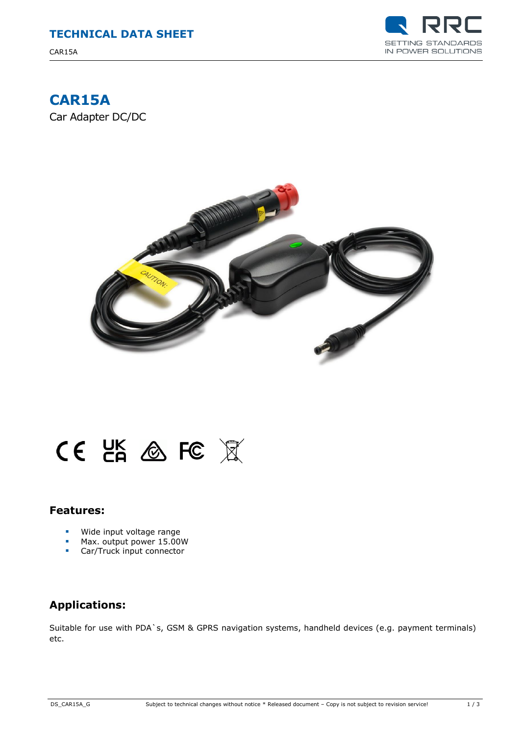

## **CAR15A**

Car Adapter DC/DC



# CE CA & FC X

#### **Features:**

- Wide input voltage range
- Max. output power 15.00W<br>Car/Truck input connector
- Car/Truck input connector

### **Applications:**

Suitable for use with PDA`s, GSM & GPRS navigation systems, handheld devices (e.g. payment terminals) etc.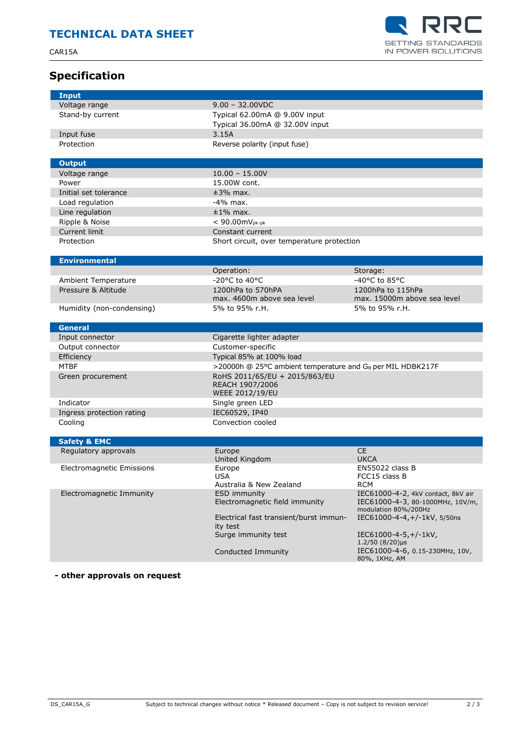CAR15A



### **Specification**

| Input                      |                                                                        |                                                  |
|----------------------------|------------------------------------------------------------------------|--------------------------------------------------|
| Voltage range              | $9.00 - 32.00$ VDC                                                     |                                                  |
| Stand-by current           | Typical 62.00mA @ 9.00V input                                          |                                                  |
|                            | Typical 36.00mA @ 32.00V input                                         |                                                  |
| Input fuse                 | 3.15A                                                                  |                                                  |
| Protection                 | Reverse polarity (input fuse)                                          |                                                  |
|                            |                                                                        |                                                  |
| <b>Output</b>              |                                                                        |                                                  |
| Voltage range              | $10.00 - 15.00V$                                                       |                                                  |
| Power                      | 15.00W cont.                                                           |                                                  |
| Initial set tolerance      | $±3%$ max.                                                             |                                                  |
| Load regulation            | $-4\%$ max.                                                            |                                                  |
| Line regulation            | $±1\%$ max.                                                            |                                                  |
| Ripple & Noise             | $< 90.00$ m $V_{\text{pk-bk}}$                                         |                                                  |
| Current limit              | Constant current                                                       |                                                  |
| Protection                 | Short circuit, over temperature protection                             |                                                  |
|                            |                                                                        |                                                  |
| <b>Environmental</b>       |                                                                        |                                                  |
|                            | Operation:                                                             | Storage:                                         |
| <b>Ambient Temperature</b> | -20°C to 40°C                                                          | -40°C to 85°C                                    |
| Pressure & Altitude        | 1200hPa to 570hPA                                                      | 1200hPa to 115hPa                                |
|                            | max. 4600m above sea level                                             | max. 15000m above sea level                      |
| Humidity (non-condensing)  | 5% to 95% r.H.                                                         | 5% to 95% r.H.                                   |
|                            |                                                                        |                                                  |
|                            |                                                                        |                                                  |
| <b>General</b>             |                                                                        |                                                  |
| Input connector            | Cigarette lighter adapter                                              |                                                  |
| Output connector           | Customer-specific                                                      |                                                  |
| Efficiency                 | Typical 85% at 100% load                                               |                                                  |
| <b>MTBF</b>                | >20000h @ 25°C ambient temperature and G <sub>B</sub> per MIL HDBK217F |                                                  |
| Green procurement          | RoHS 2011/65/EU + 2015/863/EU                                          |                                                  |
|                            | REACH 1907/2006                                                        |                                                  |
|                            | <b>WEEE 2012/19/EU</b>                                                 |                                                  |
| Indicator                  | Single green LED                                                       |                                                  |
| Ingress protection rating  | IEC60529, IP40                                                         |                                                  |
| Cooling                    | Convection cooled                                                      |                                                  |
|                            |                                                                        |                                                  |
| <b>Safety &amp; EMC</b>    |                                                                        |                                                  |
| Regulatory approvals       | Europe                                                                 | <b>CE</b>                                        |
|                            | United Kingdom                                                         | <b>UKCA</b>                                      |
| Electromagnetic Emissions  | Europe                                                                 | <b>EN55022 class B</b>                           |
|                            | <b>USA</b>                                                             | FCC15 class B<br><b>RCM</b>                      |
| Electromagnetic Immunity   | Australia & New Zealand<br><b>ESD immunity</b>                         | IEC61000-4-2, 4kV contact, 8kV air               |
|                            | Electromagnetic field immunity                                         | IEC61000-4-3, 80-1000MHz, 10V/m,                 |
|                            |                                                                        | modulation 80%/200Hz                             |
|                            | Electrical fast transient/burst immun-                                 | IEC61000-4-4, +/-1kV, 5/50ns                     |
|                            | ity test                                                               |                                                  |
|                            | Surge immunity test                                                    | IEC61000-4-5, +/-1kV,                            |
|                            |                                                                        | $1.2/50$ (8/20)µs                                |
|                            | Conducted Immunity                                                     | IEC61000-4-6, 0.15-230MHz, 10V,<br>80%, 1KHz, AM |

**- other approvals on request**